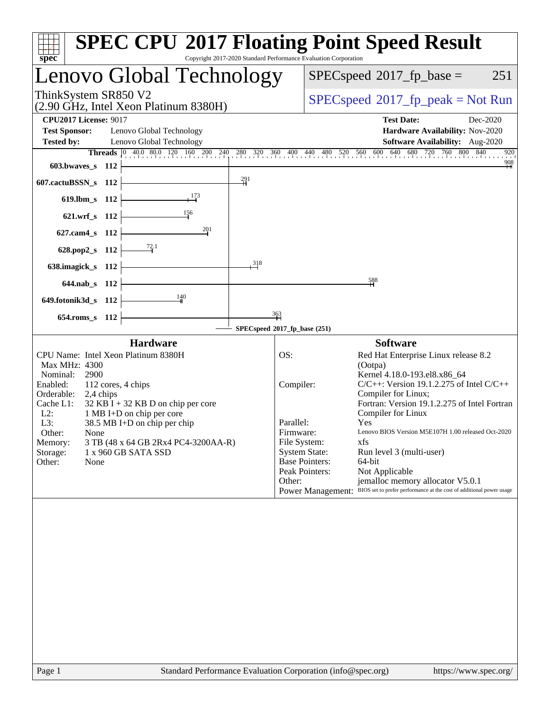| spec <sup>®</sup>                                                                                                                                                                                                                                                                                                                                                                                 | Copyright 2017-2020 Standard Performance Evaluation Corporation                              | <b>SPEC CPU®2017 Floating Point Speed Result</b>                                                                                                                                                                                                                                                                                                                                                                                                                                                                                   |  |  |
|---------------------------------------------------------------------------------------------------------------------------------------------------------------------------------------------------------------------------------------------------------------------------------------------------------------------------------------------------------------------------------------------------|----------------------------------------------------------------------------------------------|------------------------------------------------------------------------------------------------------------------------------------------------------------------------------------------------------------------------------------------------------------------------------------------------------------------------------------------------------------------------------------------------------------------------------------------------------------------------------------------------------------------------------------|--|--|
| Lenovo Global Technology                                                                                                                                                                                                                                                                                                                                                                          | $SPEC speed^{\circ}2017\_fp\_base =$<br>251                                                  |                                                                                                                                                                                                                                                                                                                                                                                                                                                                                                                                    |  |  |
| ThinkSystem SR850 V2<br>(2.90 GHz, Intel Xeon Platinum 8380H)                                                                                                                                                                                                                                                                                                                                     |                                                                                              | $SPEC speed^{\circ}2017\_fp\_peak = Not Run$                                                                                                                                                                                                                                                                                                                                                                                                                                                                                       |  |  |
| <b>CPU2017 License: 9017</b><br><b>Test Sponsor:</b><br>Lenovo Global Technology<br><b>Tested by:</b><br>Lenovo Global Technology                                                                                                                                                                                                                                                                 |                                                                                              | <b>Test Date:</b><br>Dec-2020<br>Hardware Availability: Nov-2020<br><b>Software Availability:</b> Aug-2020                                                                                                                                                                                                                                                                                                                                                                                                                         |  |  |
| 603.bwaves s 112                                                                                                                                                                                                                                                                                                                                                                                  |                                                                                              | <b>Threads</b> 0 40.0 80.0 120 160 200 240 280 320 360 400 440 480 520 560 600 640 680 720 760 800 840<br>.920<br>$\frac{908}{4}$                                                                                                                                                                                                                                                                                                                                                                                                  |  |  |
| 607.cactuBSSN_s 112                                                                                                                                                                                                                                                                                                                                                                               | $\frac{291}{4}$                                                                              |                                                                                                                                                                                                                                                                                                                                                                                                                                                                                                                                    |  |  |
| 619.lbm_s 112<br>621.wrf_s 112                                                                                                                                                                                                                                                                                                                                                                    |                                                                                              |                                                                                                                                                                                                                                                                                                                                                                                                                                                                                                                                    |  |  |
| 627.cam4_s 112                                                                                                                                                                                                                                                                                                                                                                                    | 201                                                                                          |                                                                                                                                                                                                                                                                                                                                                                                                                                                                                                                                    |  |  |
| $\frac{72.1}{ }$<br>628.pop2_s 112                                                                                                                                                                                                                                                                                                                                                                |                                                                                              |                                                                                                                                                                                                                                                                                                                                                                                                                                                                                                                                    |  |  |
| 638.imagick_s 112                                                                                                                                                                                                                                                                                                                                                                                 | $\frac{318}{2}$                                                                              |                                                                                                                                                                                                                                                                                                                                                                                                                                                                                                                                    |  |  |
| 644.nab_s 112                                                                                                                                                                                                                                                                                                                                                                                     |                                                                                              | 588                                                                                                                                                                                                                                                                                                                                                                                                                                                                                                                                |  |  |
| 140<br>649.fotonik3d_s 112                                                                                                                                                                                                                                                                                                                                                                        | $\frac{363}{5}$                                                                              |                                                                                                                                                                                                                                                                                                                                                                                                                                                                                                                                    |  |  |
| 654.roms_s 112                                                                                                                                                                                                                                                                                                                                                                                    | SPECspeed®2017_fp_base (251)                                                                 |                                                                                                                                                                                                                                                                                                                                                                                                                                                                                                                                    |  |  |
| <b>Hardware</b>                                                                                                                                                                                                                                                                                                                                                                                   |                                                                                              | <b>Software</b>                                                                                                                                                                                                                                                                                                                                                                                                                                                                                                                    |  |  |
| CPU Name: Intel Xeon Platinum 8380H<br>Max MHz: 4300<br>Nominal:<br>2900<br>Enabled:<br>112 cores, 4 chips<br>Orderable:<br>2,4 chips<br>Cache L1:<br>$32$ KB I + 32 KB D on chip per core<br>$L2$ :<br>1 MB I+D on chip per core<br>L3:<br>38.5 MB I+D on chip per chip<br>Other:<br>None<br>3 TB (48 x 64 GB 2Rx4 PC4-3200AA-R)<br>Memory:<br>Storage:<br>1 x 960 GB SATA SSD<br>Other:<br>None | OS:<br>Compiler:<br>Parallel:<br>Firmware:<br>File System:<br><b>System State:</b><br>Other: | Red Hat Enterprise Linux release 8.2<br>(Ootpa)<br>Kernel 4.18.0-193.el8.x86_64<br>$C/C++$ : Version 19.1.2.275 of Intel $C/C++$<br>Compiler for Linux;<br>Fortran: Version 19.1.2.275 of Intel Fortran<br>Compiler for Linux<br>Yes<br>Lenovo BIOS Version M5E107H 1.00 released Oct-2020<br>xfs<br>Run level 3 (multi-user)<br><b>Base Pointers:</b><br>64-bit<br>Peak Pointers:<br>Not Applicable<br>jemalloc memory allocator V5.0.1<br>Power Management: BIOS set to prefer performance at the cost of additional power usage |  |  |
|                                                                                                                                                                                                                                                                                                                                                                                                   |                                                                                              |                                                                                                                                                                                                                                                                                                                                                                                                                                                                                                                                    |  |  |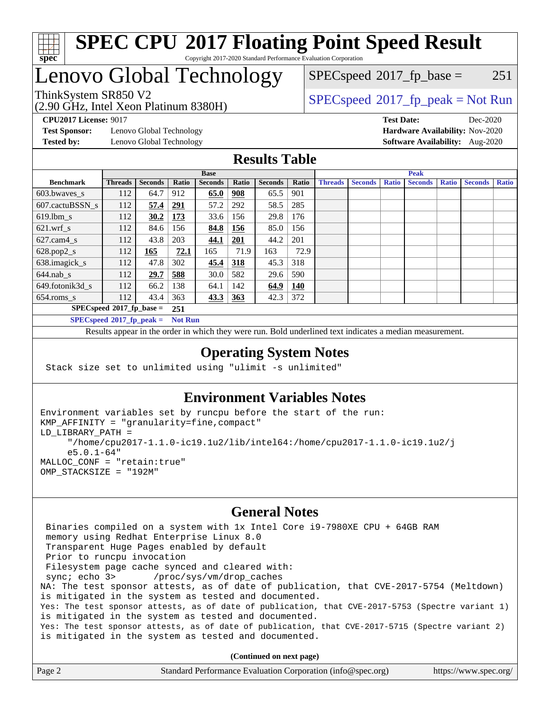

## Lenovo Global Technology

(2.90 GHz, Intel Xeon Platinum 8380H)

 $SPECspeed^{\circledcirc}2017_fp\_base = 251$  $SPECspeed^{\circledcirc}2017_fp\_base = 251$ 

### ThinkSystem SR850 V2  $\begin{array}{c} \text{SPEC speed} \textdegree 2017\_fp\_peak = Not Run \end{array}$

**[CPU2017 License:](http://www.spec.org/auto/cpu2017/Docs/result-fields.html#CPU2017License)** 9017 **[Test Date:](http://www.spec.org/auto/cpu2017/Docs/result-fields.html#TestDate)** Dec-2020

**[Test Sponsor:](http://www.spec.org/auto/cpu2017/Docs/result-fields.html#TestSponsor)** Lenovo Global Technology **[Hardware Availability:](http://www.spec.org/auto/cpu2017/Docs/result-fields.html#HardwareAvailability)** Nov-2020 **[Tested by:](http://www.spec.org/auto/cpu2017/Docs/result-fields.html#Testedby)** Lenovo Global Technology **[Software Availability:](http://www.spec.org/auto/cpu2017/Docs/result-fields.html#SoftwareAvailability)** Aug-2020

### **[Results Table](http://www.spec.org/auto/cpu2017/Docs/result-fields.html#ResultsTable)**

|                             | <b>Base</b>    |                |                |                |            | <b>Peak</b>    |            |                |                |              |                |              |                |              |
|-----------------------------|----------------|----------------|----------------|----------------|------------|----------------|------------|----------------|----------------|--------------|----------------|--------------|----------------|--------------|
| <b>Benchmark</b>            | <b>Threads</b> | <b>Seconds</b> | Ratio          | <b>Seconds</b> | Ratio      | <b>Seconds</b> | Ratio      | <b>Threads</b> | <b>Seconds</b> | <b>Ratio</b> | <b>Seconds</b> | <b>Ratio</b> | <b>Seconds</b> | <b>Ratio</b> |
| 603.bwayes s                | 112            | 64.7           | 912            | 65.0           | 908        | 65.5           | 901        |                |                |              |                |              |                |              |
| 607.cactuBSSN s             | 112            | 57.4           | 291            | 57.2           | 292        | 58.5           | 285        |                |                |              |                |              |                |              |
| $619.1$ bm s                | 112            | 30.2           | 173            | 33.6           | 156        | 29.8           | 176        |                |                |              |                |              |                |              |
| $621$ .wrf s                | 112            | 84.6           | 156            | 84.8           | 156        | 85.0           | 156        |                |                |              |                |              |                |              |
| $627$ .cam $4 \text{ s}$    | 112            | 43.8           | 203            | 44.1           | 201        | 44.2           | 201        |                |                |              |                |              |                |              |
| $628.pop2_s$                | 112            | 165            | 72.1           | 165            | 71.9       | 163            | 72.9       |                |                |              |                |              |                |              |
| 638.imagick_s               | 112            | 47.8           | 302            | 45.4           | 318        | 45.3           | 318        |                |                |              |                |              |                |              |
| $644$ .nab s                | 112            | 29.7           | 588            | 30.0           | 582        | 29.6           | 590        |                |                |              |                |              |                |              |
| 649.fotonik3d s             | 112            | 66.2           | 138            | 64.1           | 142        | 64.9           | <b>140</b> |                |                |              |                |              |                |              |
| $654$ .roms s               | 112            | 43.4           | 363            | 43.3           | <b>363</b> | 42.3           | 372        |                |                |              |                |              |                |              |
| $SPECspeed*2017_fp\_base =$ |                |                | 251            |                |            |                |            |                |                |              |                |              |                |              |
| $SPECspeed*2017_fp\_peak =$ |                |                | <b>Not Run</b> |                |            |                |            |                |                |              |                |              |                |              |

Results appear in the [order in which they were run.](http://www.spec.org/auto/cpu2017/Docs/result-fields.html#RunOrder) Bold underlined text [indicates a median measurement](http://www.spec.org/auto/cpu2017/Docs/result-fields.html#Median).

### **[Operating System Notes](http://www.spec.org/auto/cpu2017/Docs/result-fields.html#OperatingSystemNotes)**

Stack size set to unlimited using "ulimit -s unlimited"

#### **[Environment Variables Notes](http://www.spec.org/auto/cpu2017/Docs/result-fields.html#EnvironmentVariablesNotes)**

```
Environment variables set by runcpu before the start of the run:
KMP_AFFINITY = "granularity=fine,compact"
LD_LIBRARY_PATH =
      "/home/cpu2017-1.1.0-ic19.1u2/lib/intel64:/home/cpu2017-1.1.0-ic19.1u2/j
      e5.0.1-64"
MALLOC_CONF = "retain:true"
OMP_STACKSIZE = "192M"
```
#### **[General Notes](http://www.spec.org/auto/cpu2017/Docs/result-fields.html#GeneralNotes)**

 Binaries compiled on a system with 1x Intel Core i9-7980XE CPU + 64GB RAM memory using Redhat Enterprise Linux 8.0 Transparent Huge Pages enabled by default Prior to runcpu invocation Filesystem page cache synced and cleared with: sync; echo 3> /proc/sys/vm/drop\_caches NA: The test sponsor attests, as of date of publication, that CVE-2017-5754 (Meltdown) is mitigated in the system as tested and documented. Yes: The test sponsor attests, as of date of publication, that CVE-2017-5753 (Spectre variant 1) is mitigated in the system as tested and documented. Yes: The test sponsor attests, as of date of publication, that CVE-2017-5715 (Spectre variant 2) is mitigated in the system as tested and documented.

**(Continued on next page)**

| Page 2 | Standard Performance Evaluation Corporation (info@spec.org) | https://www.spec.org/ |
|--------|-------------------------------------------------------------|-----------------------|
|--------|-------------------------------------------------------------|-----------------------|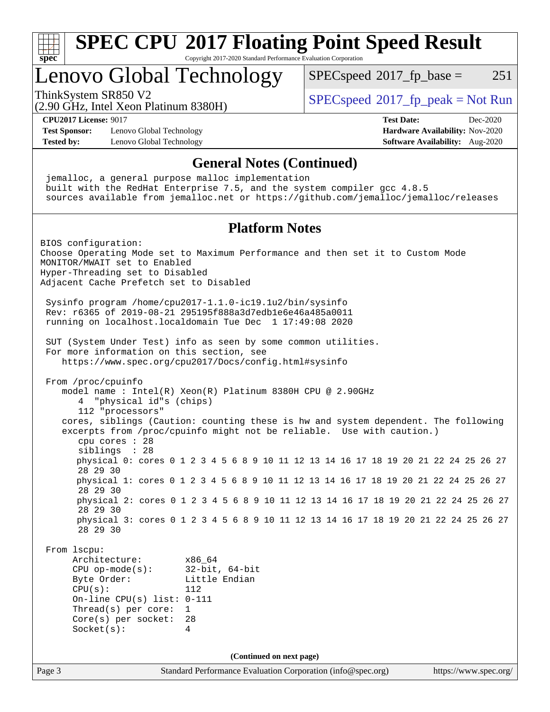

# **[SPEC CPU](http://www.spec.org/auto/cpu2017/Docs/result-fields.html#SPECCPU2017FloatingPointSpeedResult)[2017 Floating Point Speed Result](http://www.spec.org/auto/cpu2017/Docs/result-fields.html#SPECCPU2017FloatingPointSpeedResult)**

Copyright 2017-2020 Standard Performance Evaluation Corporation

### Lenovo Global Technology

 $SPECspeed^{\circ}2017\_fp\_base = 251$  $SPECspeed^{\circ}2017\_fp\_base = 251$ 

(2.90 GHz, Intel Xeon Platinum 8380H)

ThinkSystem SR850 V2  $\vert$  [SPECspeed](http://www.spec.org/auto/cpu2017/Docs/result-fields.html#SPECspeed2017fppeak)<sup>®</sup>[2017\\_fp\\_peak = N](http://www.spec.org/auto/cpu2017/Docs/result-fields.html#SPECspeed2017fppeak)ot Run

**[CPU2017 License:](http://www.spec.org/auto/cpu2017/Docs/result-fields.html#CPU2017License)** 9017 **[Test Date:](http://www.spec.org/auto/cpu2017/Docs/result-fields.html#TestDate)** Dec-2020

**[Test Sponsor:](http://www.spec.org/auto/cpu2017/Docs/result-fields.html#TestSponsor)** Lenovo Global Technology **[Hardware Availability:](http://www.spec.org/auto/cpu2017/Docs/result-fields.html#HardwareAvailability)** Nov-2020 **[Tested by:](http://www.spec.org/auto/cpu2017/Docs/result-fields.html#Testedby)** Lenovo Global Technology **[Software Availability:](http://www.spec.org/auto/cpu2017/Docs/result-fields.html#SoftwareAvailability)** Aug-2020

#### **[General Notes \(Continued\)](http://www.spec.org/auto/cpu2017/Docs/result-fields.html#GeneralNotes)**

 jemalloc, a general purpose malloc implementation built with the RedHat Enterprise 7.5, and the system compiler gcc 4.8.5 sources available from jemalloc.net or <https://github.com/jemalloc/jemalloc/releases> **[Platform Notes](http://www.spec.org/auto/cpu2017/Docs/result-fields.html#PlatformNotes)** BIOS configuration: Choose Operating Mode set to Maximum Performance and then set it to Custom Mode MONITOR/MWAIT set to Enabled Hyper-Threading set to Disabled Adjacent Cache Prefetch set to Disabled Sysinfo program /home/cpu2017-1.1.0-ic19.1u2/bin/sysinfo Rev: r6365 of 2019-08-21 295195f888a3d7edb1e6e46a485a0011 running on localhost.localdomain Tue Dec 1 17:49:08 2020 SUT (System Under Test) info as seen by some common utilities. For more information on this section, see <https://www.spec.org/cpu2017/Docs/config.html#sysinfo>

 From /proc/cpuinfo model name : Intel(R) Xeon(R) Platinum 8380H CPU @ 2.90GHz 4 "physical id"s (chips) 112 "processors" cores, siblings (Caution: counting these is hw and system dependent. The following excerpts from /proc/cpuinfo might not be reliable. Use with caution.) cpu cores : 28 siblings : 28 physical 0: cores 0 1 2 3 4 5 6 8 9 10 11 12 13 14 16 17 18 19 20 21 22 24 25 26 27 28 29 30 physical 1: cores 0 1 2 3 4 5 6 8 9 10 11 12 13 14 16 17 18 19 20 21 22 24 25 26 27 28 29 30 physical 2: cores 0 1 2 3 4 5 6 8 9 10 11 12 13 14 16 17 18 19 20 21 22 24 25 26 27 28 29 30 physical 3: cores 0 1 2 3 4 5 6 8 9 10 11 12 13 14 16 17 18 19 20 21 22 24 25 26 27 28 29 30 From lscpu: Architecture: x86\_64 CPU op-mode(s): 32-bit, 64-bit Byte Order: Little Endian CPU(s): 112 On-line CPU(s) list: 0-111 Thread(s) per core: 1 Core(s) per socket: 28 Socket(s): 4 **(Continued on next page)**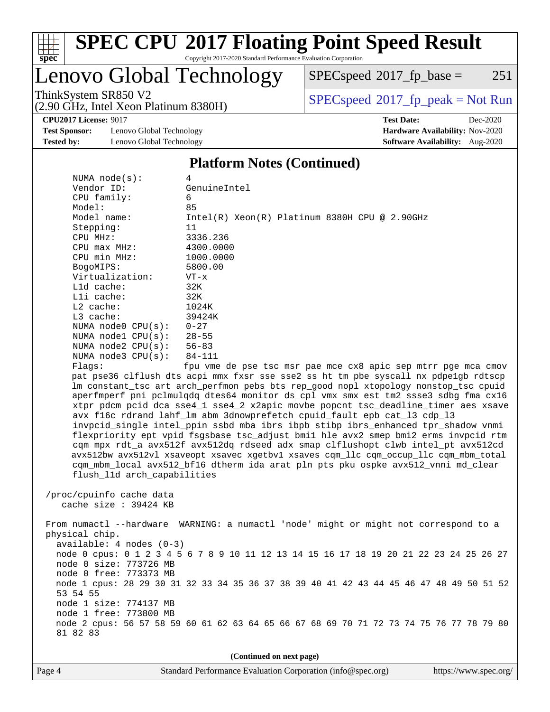

## Lenovo Global Technology

 $SPECspeed^{\circ}2017\_fp\_base = 251$  $SPECspeed^{\circ}2017\_fp\_base = 251$ 

(2.90 GHz, Intel Xeon Platinum 8380H)

ThinkSystem SR850 V2<br>  $\begin{array}{c} \text{SPEC speed} \text{?}2017\_fp\_peak = Not Run \end{array}$ 

**[CPU2017 License:](http://www.spec.org/auto/cpu2017/Docs/result-fields.html#CPU2017License)** 9017 **[Test Date:](http://www.spec.org/auto/cpu2017/Docs/result-fields.html#TestDate)** Dec-2020

**[Test Sponsor:](http://www.spec.org/auto/cpu2017/Docs/result-fields.html#TestSponsor)** Lenovo Global Technology **[Hardware Availability:](http://www.spec.org/auto/cpu2017/Docs/result-fields.html#HardwareAvailability)** Nov-2020 **[Tested by:](http://www.spec.org/auto/cpu2017/Docs/result-fields.html#Testedby)** Lenovo Global Technology **[Software Availability:](http://www.spec.org/auto/cpu2017/Docs/result-fields.html#SoftwareAvailability)** Aug-2020

### **[Platform Notes \(Continued\)](http://www.spec.org/auto/cpu2017/Docs/result-fields.html#PlatformNotes)**

| NUMA $node(s):$            | 4                                                                                   |
|----------------------------|-------------------------------------------------------------------------------------|
| Vendor ID:                 | GenuineIntel                                                                        |
| CPU family:                | 6                                                                                   |
| Model:                     | 85                                                                                  |
| Model name:                | Intel(R) Xeon(R) Platinum 8380H CPU @ 2.90GHz                                       |
| Stepping:                  | 11                                                                                  |
| CPU MHz:                   | 3336.236                                                                            |
| $CPU$ max $MHz$ :          | 4300.0000                                                                           |
| CPU min MHz:               | 1000.0000                                                                           |
| BogoMIPS:                  | 5800.00                                                                             |
| Virtualization:            | $VT - x$                                                                            |
| $L1d$ cache:               | 32K                                                                                 |
| Lli cache:                 | 32K                                                                                 |
| $L2$ cache:                | 1024K                                                                               |
| $L3$ cache:                | 39424K                                                                              |
| NUMA $node0$ $CPU(s):$     | $0 - 27$                                                                            |
| NUMA nodel $CPU(s): 28-55$ |                                                                                     |
| NUMA node2 $CPU(s): 56-83$ |                                                                                     |
| NUMA $node3$ $CPU(s):$     | 84-111                                                                              |
| Flaqs:                     | fpu vme de pse tsc msr pae mce cx8 apic sep mtrr pqe mca cmov                       |
|                            | pat pse36 clflush dts acpi mmx fxsr sse sse2 ss ht tm pbe syscall nx pdpelgb rdtscp |
|                            | Im constant tsc art arch perfmon pebs bts rep good nopl xtopology nonstop tsc cpuid |
|                            | aperfmperf pni pclmulgdg dtes64 monitor ds cpl vmx smx est tm2 ssse3 sdbg fma cx16  |
|                            | xtpr pdcm pcid dca sse4_1 sse4_2 x2apic movbe popcnt tsc_deadline_timer aes xsave   |
|                            | avx f16c rdrand lahf_lm abm 3dnowprefetch cpuid_fault epb cat_13 cdp_13             |

 invpcid\_single intel\_ppin ssbd mba ibrs ibpb stibp ibrs\_enhanced tpr\_shadow vnmi flexpriority ept vpid fsgsbase tsc\_adjust bmi1 hle avx2 smep bmi2 erms invpcid rtm cqm mpx rdt\_a avx512f avx512dq rdseed adx smap clflushopt clwb intel\_pt avx512cd avx512bw avx512vl xsaveopt xsavec xgetbv1 xsaves cqm\_llc cqm\_occup\_llc cqm\_mbm\_total cqm\_mbm\_local avx512\_bf16 dtherm ida arat pln pts pku ospke avx512\_vnni md\_clear flush\_l1d arch\_capabilities

```
 /proc/cpuinfo cache data
   cache size : 39424 KB
```
 From numactl --hardware WARNING: a numactl 'node' might or might not correspond to a physical chip. available: 4 nodes (0-3) node 0 cpus: 0 1 2 3 4 5 6 7 8 9 10 11 12 13 14 15 16 17 18 19 20 21 22 23 24 25 26 27 node 0 size: 773726 MB node 0 free: 773373 MB node 1 cpus: 28 29 30 31 32 33 34 35 36 37 38 39 40 41 42 43 44 45 46 47 48 49 50 51 52 53 54 55 node 1 size: 774137 MB node 1 free: 773800 MB node 2 cpus: 56 57 58 59 60 61 62 63 64 65 66 67 68 69 70 71 72 73 74 75 76 77 78 79 80 81 82 83

**(Continued on next page)**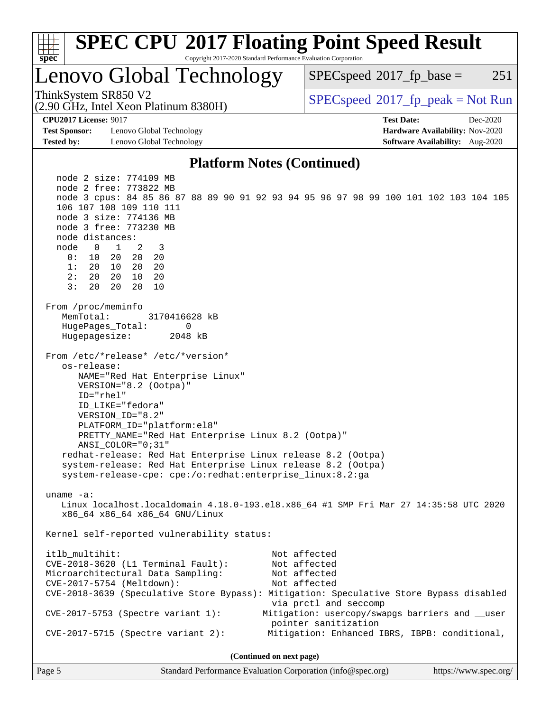| <b>SPEC CPU®2017 Floating Point Speed Result</b><br>Copyright 2017-2020 Standard Performance Evaluation Corporation<br>$spec^*$                                                                                                                                                                                                                                                                                                         |                               |                                                                                                                                                                                                                                                             |  |  |  |
|-----------------------------------------------------------------------------------------------------------------------------------------------------------------------------------------------------------------------------------------------------------------------------------------------------------------------------------------------------------------------------------------------------------------------------------------|-------------------------------|-------------------------------------------------------------------------------------------------------------------------------------------------------------------------------------------------------------------------------------------------------------|--|--|--|
| Lenovo Global Technology                                                                                                                                                                                                                                                                                                                                                                                                                |                               | $SPEC speed^{\circ}2017\_fp\_base =$<br>251                                                                                                                                                                                                                 |  |  |  |
| ThinkSystem SR850 V2<br>(2.90 GHz, Intel Xeon Platinum 8380H)                                                                                                                                                                                                                                                                                                                                                                           |                               | $SPEC speed^{\circ}2017\_fp\_peak = Not Run$                                                                                                                                                                                                                |  |  |  |
| <b>CPU2017 License: 9017</b><br><b>Test Sponsor:</b><br>Lenovo Global Technology<br><b>Tested by:</b><br>Lenovo Global Technology                                                                                                                                                                                                                                                                                                       |                               | <b>Test Date:</b><br>Dec-2020<br>Hardware Availability: Nov-2020<br><b>Software Availability:</b> Aug-2020                                                                                                                                                  |  |  |  |
|                                                                                                                                                                                                                                                                                                                                                                                                                                         |                               | <b>Platform Notes (Continued)</b>                                                                                                                                                                                                                           |  |  |  |
| node 2 size: 774109 MB<br>node 2 free: 773822 MB<br>106 107 108 109 110 111<br>node 3 size: 774136 MB<br>node 3 free: 773230 MB<br>node distances:<br>node<br>$\mathbf 0$<br>$\mathbf{1}$<br>2<br>3<br>0:<br>10<br>20<br>20<br>20<br>1:<br>20<br>20<br>20<br>10<br>20<br>10<br>20<br>2:<br>20<br>3:<br>20<br>20<br>20<br>10                                                                                                             |                               | node 3 cpus: 84 85 86 87 88 89 90 91 92 93 94 95 96 97 98 99 100 101 102 103 104 105                                                                                                                                                                        |  |  |  |
| From /proc/meminfo<br>MemTotal:<br>HugePages_Total:<br>Hugepagesize:<br>From /etc/*release* /etc/*version*<br>os-release:<br>NAME="Red Hat Enterprise Linux"<br>VERSION="8.2 (Ootpa)"<br>ID="rhel"<br>ID_LIKE="fedora"<br>VERSION_ID="8.2"<br>PLATFORM_ID="platform:el8"<br>PRETTY_NAME="Red Hat Enterprise Linux 8.2 (Ootpa)"<br>$ANSI$ _COLOR=" $0:31$ "<br>system-release-cpe: cpe:/o:redhat:enterprise_linux:8.2:ga<br>uname $-a$ : | 3170416628 kB<br>0<br>2048 kB | redhat-release: Red Hat Enterprise Linux release 8.2 (Ootpa)<br>system-release: Red Hat Enterprise Linux release 8.2 (Ootpa)                                                                                                                                |  |  |  |
| Linux localhost.localdomain 4.18.0-193.el8.x86_64 #1 SMP Fri Mar 27 14:35:58 UTC 2020<br>x86_64 x86_64 x86_64 GNU/Linux                                                                                                                                                                                                                                                                                                                 |                               |                                                                                                                                                                                                                                                             |  |  |  |
| Kernel self-reported vulnerability status:                                                                                                                                                                                                                                                                                                                                                                                              |                               |                                                                                                                                                                                                                                                             |  |  |  |
| itlb_multihit:<br>CVE-2018-3620 (L1 Terminal Fault):<br>Microarchitectural Data Sampling:<br>CVE-2017-5754 (Meltdown):<br>$CVE-2017-5753$ (Spectre variant 1):                                                                                                                                                                                                                                                                          |                               | Not affected<br>Not affected<br>Not affected<br>Not affected<br>CVE-2018-3639 (Speculative Store Bypass): Mitigation: Speculative Store Bypass disabled<br>via prctl and seccomp<br>Mitigation: usercopy/swapgs barriers and __user<br>pointer sanitization |  |  |  |
| $CVE-2017-5715$ (Spectre variant 2):                                                                                                                                                                                                                                                                                                                                                                                                    |                               | Mitigation: Enhanced IBRS, IBPB: conditional,                                                                                                                                                                                                               |  |  |  |
|                                                                                                                                                                                                                                                                                                                                                                                                                                         |                               | (Continued on next page)                                                                                                                                                                                                                                    |  |  |  |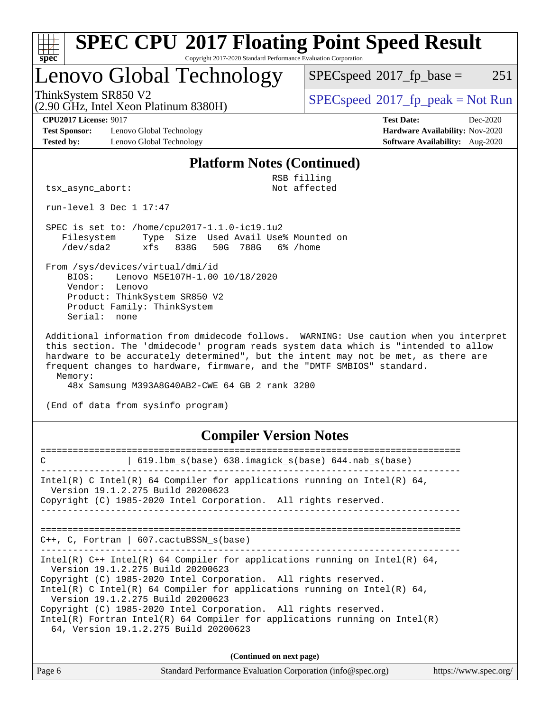|       | SPEC CPU®2017 Floating Point Speed Result                       |
|-------|-----------------------------------------------------------------|
| spec® | Copyright 2017-2020 Standard Performance Evaluation Corporation |

### Lenovo Global Technology

(2.90 GHz, Intel Xeon Platinum 8380H)

 $SPECspeed^{\circledcirc}2017_fp\_base = 251$  $SPECspeed^{\circledcirc}2017_fp\_base = 251$ 

ThinkSystem SR850 V2<br>  $\begin{array}{c}\n 3.80 \text{ GHz} \\
 \hline\n 1.40 \text{ V} \\
 \hline\n 2.80 \text{ GHz} \\
 \hline\n 3.80 \text{ V} \\
 \hline\n 1.40 \text{ V} \\
 \hline\n 2.80 \text{ V} \\
 \hline\n 1.40 \text{ V} \\
 \hline\n 2.80 \text{ V} \\
 \hline\n 1.40 \text{ V} \\
 \hline\n 2.80 \text{ V} \\
 \hline\n 3.80 \text{ V} \\
 \hline\n 4.40 \text{ V} \\
 \hline\n 5.40 \text{ V}$ 

**[Test Sponsor:](http://www.spec.org/auto/cpu2017/Docs/result-fields.html#TestSponsor)** Lenovo Global Technology **[Hardware Availability:](http://www.spec.org/auto/cpu2017/Docs/result-fields.html#HardwareAvailability)** Nov-2020 **[Tested by:](http://www.spec.org/auto/cpu2017/Docs/result-fields.html#Testedby)** Lenovo Global Technology **[Software Availability:](http://www.spec.org/auto/cpu2017/Docs/result-fields.html#SoftwareAvailability)** Aug-2020

**[CPU2017 License:](http://www.spec.org/auto/cpu2017/Docs/result-fields.html#CPU2017License)** 9017 **[Test Date:](http://www.spec.org/auto/cpu2017/Docs/result-fields.html#TestDate)** Dec-2020

#### **[Platform Notes \(Continued\)](http://www.spec.org/auto/cpu2017/Docs/result-fields.html#PlatformNotes)**

RSB filling<br>Not affected

tsx\_async\_abort:

run-level 3 Dec 1 17:47

 SPEC is set to: /home/cpu2017-1.1.0-ic19.1u2 Filesystem Type Size Used Avail Use% Mounted on /dev/sda2 xfs 838G 50G 788G 6% /home

 From /sys/devices/virtual/dmi/id BIOS: Lenovo M5E107H-1.00 10/18/2020 Vendor: Lenovo Product: ThinkSystem SR850 V2 Product Family: ThinkSystem Serial: none

 Additional information from dmidecode follows. WARNING: Use caution when you interpret this section. The 'dmidecode' program reads system data which is "intended to allow hardware to be accurately determined", but the intent may not be met, as there are frequent changes to hardware, firmware, and the "DMTF SMBIOS" standard. Memory:

48x Samsung M393A8G40AB2-CWE 64 GB 2 rank 3200

(End of data from sysinfo program)

### **[Compiler Version Notes](http://www.spec.org/auto/cpu2017/Docs/result-fields.html#CompilerVersionNotes)**

| $619.1$ bm_s(base) $638.imagick_s(base)$ $644.nab_s(base)$<br>C                                                                                                                                                                                                                                                                                                                                                                                                                                 |
|-------------------------------------------------------------------------------------------------------------------------------------------------------------------------------------------------------------------------------------------------------------------------------------------------------------------------------------------------------------------------------------------------------------------------------------------------------------------------------------------------|
| Intel(R) C Intel(R) 64 Compiler for applications running on Intel(R) 64,<br>Version 19.1.2.275 Build 20200623<br>Copyright (C) 1985-2020 Intel Corporation. All rights reserved.                                                                                                                                                                                                                                                                                                                |
| $C_{++}$ , C, Fortran   607. cactuBSSN s(base)                                                                                                                                                                                                                                                                                                                                                                                                                                                  |
| Intel(R) $C++$ Intel(R) 64 Compiler for applications running on Intel(R) 64,<br>Version 19.1.2.275 Build 20200623<br>Copyright (C) 1985-2020 Intel Corporation. All rights reserved.<br>Intel(R) C Intel(R) 64 Compiler for applications running on Intel(R) 64,<br>Version 19.1.2.275 Build 20200623<br>Copyright (C) 1985-2020 Intel Corporation. All rights reserved.<br>Intel(R) Fortran Intel(R) 64 Compiler for applications running on Intel(R)<br>64, Version 19.1.2.275 Build 20200623 |

**(Continued on next page)**

| Page 6 | Standard Performance Evaluation Corporation (info@spec.org) | https://www.spec.org/ $\vert$ |
|--------|-------------------------------------------------------------|-------------------------------|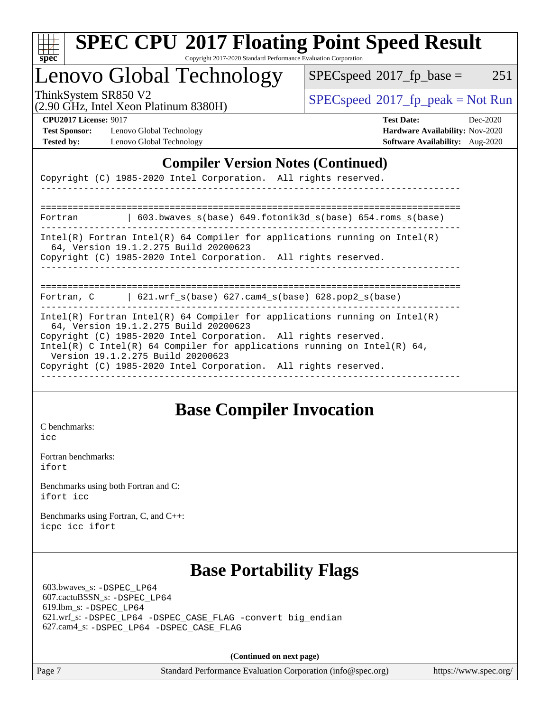

### Lenovo Global Technology

 $SPECspeed^{\circledcirc}2017_fp\_base = 251$  $SPECspeed^{\circledcirc}2017_fp\_base = 251$ 

(2.90 GHz, Intel Xeon Platinum 8380H)

ThinkSystem SR850 V2<br>  $\begin{array}{c} \text{SPEC speed} \text{?}2017 \text{ fp\_peak} = \text{Not Run} \end{array}$ 

**[Test Sponsor:](http://www.spec.org/auto/cpu2017/Docs/result-fields.html#TestSponsor)** Lenovo Global Technology **[Hardware Availability:](http://www.spec.org/auto/cpu2017/Docs/result-fields.html#HardwareAvailability)** Nov-2020 **[Tested by:](http://www.spec.org/auto/cpu2017/Docs/result-fields.html#Testedby)** Lenovo Global Technology **[Software Availability:](http://www.spec.org/auto/cpu2017/Docs/result-fields.html#SoftwareAvailability)** Aug-2020

**[CPU2017 License:](http://www.spec.org/auto/cpu2017/Docs/result-fields.html#CPU2017License)** 9017 **[Test Date:](http://www.spec.org/auto/cpu2017/Docs/result-fields.html#TestDate)** Dec-2020

### **[Compiler Version Notes \(Continued\)](http://www.spec.org/auto/cpu2017/Docs/result-fields.html#CompilerVersionNotes)**

Copyright (C) 1985-2020 Intel Corporation. All rights reserved.

============================================================================== Fortran | 603.bwaves\_s(base) 649.fotonik3d\_s(base) 654.roms\_s(base) ------------------------------------------------------------------------------ Intel(R) Fortran Intel(R) 64 Compiler for applications running on Intel(R) 64, Version 19.1.2.275 Build 20200623 Copyright (C) 1985-2020 Intel Corporation. All rights reserved.

------------------------------------------------------------------------------

------------------------------------------------------------------------------

============================================================================== Fortran,  $C$  | 621.wrf\_s(base) 627.cam4\_s(base) 628.pop2 s(base)

------------------------------------------------------------------------------

Intel(R) Fortran Intel(R) 64 Compiler for applications running on Intel(R) 64, Version 19.1.2.275 Build 20200623 Copyright (C) 1985-2020 Intel Corporation. All rights reserved.

Intel(R) C Intel(R) 64 Compiler for applications running on Intel(R) 64,

Version 19.1.2.275 Build 20200623

Copyright (C) 1985-2020 Intel Corporation. All rights reserved. ------------------------------------------------------------------------------

### **[Base Compiler Invocation](http://www.spec.org/auto/cpu2017/Docs/result-fields.html#BaseCompilerInvocation)**

[C benchmarks](http://www.spec.org/auto/cpu2017/Docs/result-fields.html#Cbenchmarks): [icc](http://www.spec.org/cpu2017/results/res2020q4/cpu2017-20201207-24524.flags.html#user_CCbase_intel_icc_66fc1ee009f7361af1fbd72ca7dcefbb700085f36577c54f309893dd4ec40d12360134090235512931783d35fd58c0460139e722d5067c5574d8eaf2b3e37e92)

[Fortran benchmarks](http://www.spec.org/auto/cpu2017/Docs/result-fields.html#Fortranbenchmarks): [ifort](http://www.spec.org/cpu2017/results/res2020q4/cpu2017-20201207-24524.flags.html#user_FCbase_intel_ifort_8111460550e3ca792625aed983ce982f94888b8b503583aa7ba2b8303487b4d8a21a13e7191a45c5fd58ff318f48f9492884d4413fa793fd88dd292cad7027ca)

[Benchmarks using both Fortran and C](http://www.spec.org/auto/cpu2017/Docs/result-fields.html#BenchmarksusingbothFortranandC): [ifort](http://www.spec.org/cpu2017/results/res2020q4/cpu2017-20201207-24524.flags.html#user_CC_FCbase_intel_ifort_8111460550e3ca792625aed983ce982f94888b8b503583aa7ba2b8303487b4d8a21a13e7191a45c5fd58ff318f48f9492884d4413fa793fd88dd292cad7027ca) [icc](http://www.spec.org/cpu2017/results/res2020q4/cpu2017-20201207-24524.flags.html#user_CC_FCbase_intel_icc_66fc1ee009f7361af1fbd72ca7dcefbb700085f36577c54f309893dd4ec40d12360134090235512931783d35fd58c0460139e722d5067c5574d8eaf2b3e37e92)

[Benchmarks using Fortran, C, and C++:](http://www.spec.org/auto/cpu2017/Docs/result-fields.html#BenchmarksusingFortranCandCXX) [icpc](http://www.spec.org/cpu2017/results/res2020q4/cpu2017-20201207-24524.flags.html#user_CC_CXX_FCbase_intel_icpc_c510b6838c7f56d33e37e94d029a35b4a7bccf4766a728ee175e80a419847e808290a9b78be685c44ab727ea267ec2f070ec5dc83b407c0218cded6866a35d07) [icc](http://www.spec.org/cpu2017/results/res2020q4/cpu2017-20201207-24524.flags.html#user_CC_CXX_FCbase_intel_icc_66fc1ee009f7361af1fbd72ca7dcefbb700085f36577c54f309893dd4ec40d12360134090235512931783d35fd58c0460139e722d5067c5574d8eaf2b3e37e92) [ifort](http://www.spec.org/cpu2017/results/res2020q4/cpu2017-20201207-24524.flags.html#user_CC_CXX_FCbase_intel_ifort_8111460550e3ca792625aed983ce982f94888b8b503583aa7ba2b8303487b4d8a21a13e7191a45c5fd58ff318f48f9492884d4413fa793fd88dd292cad7027ca)

## **[Base Portability Flags](http://www.spec.org/auto/cpu2017/Docs/result-fields.html#BasePortabilityFlags)**

 603.bwaves\_s: [-DSPEC\\_LP64](http://www.spec.org/cpu2017/results/res2020q4/cpu2017-20201207-24524.flags.html#suite_basePORTABILITY603_bwaves_s_DSPEC_LP64) 607.cactuBSSN\_s: [-DSPEC\\_LP64](http://www.spec.org/cpu2017/results/res2020q4/cpu2017-20201207-24524.flags.html#suite_basePORTABILITY607_cactuBSSN_s_DSPEC_LP64) 619.lbm\_s: [-DSPEC\\_LP64](http://www.spec.org/cpu2017/results/res2020q4/cpu2017-20201207-24524.flags.html#suite_basePORTABILITY619_lbm_s_DSPEC_LP64) 621.wrf\_s: [-DSPEC\\_LP64](http://www.spec.org/cpu2017/results/res2020q4/cpu2017-20201207-24524.flags.html#suite_basePORTABILITY621_wrf_s_DSPEC_LP64) [-DSPEC\\_CASE\\_FLAG](http://www.spec.org/cpu2017/results/res2020q4/cpu2017-20201207-24524.flags.html#b621.wrf_s_baseCPORTABILITY_DSPEC_CASE_FLAG) [-convert big\\_endian](http://www.spec.org/cpu2017/results/res2020q4/cpu2017-20201207-24524.flags.html#user_baseFPORTABILITY621_wrf_s_convert_big_endian_c3194028bc08c63ac5d04de18c48ce6d347e4e562e8892b8bdbdc0214820426deb8554edfa529a3fb25a586e65a3d812c835984020483e7e73212c4d31a38223) 627.cam4\_s: [-DSPEC\\_LP64](http://www.spec.org/cpu2017/results/res2020q4/cpu2017-20201207-24524.flags.html#suite_basePORTABILITY627_cam4_s_DSPEC_LP64) [-DSPEC\\_CASE\\_FLAG](http://www.spec.org/cpu2017/results/res2020q4/cpu2017-20201207-24524.flags.html#b627.cam4_s_baseCPORTABILITY_DSPEC_CASE_FLAG)

**(Continued on next page)**

Page 7 Standard Performance Evaluation Corporation [\(info@spec.org\)](mailto:info@spec.org) <https://www.spec.org/>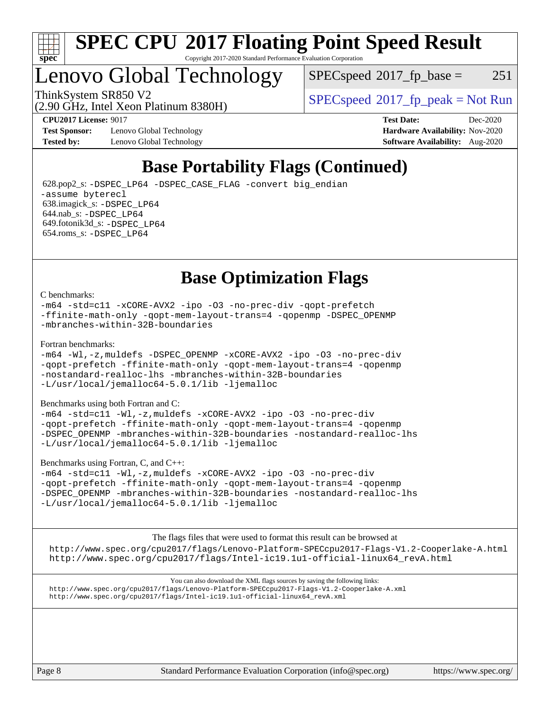

### Lenovo Global Technology

 $SPEC speed^{\circ}2017\_fp\_base = 251$ 

(2.90 GHz, Intel Xeon Platinum 8380H)

ThinkSystem SR850 V2  $\begin{array}{c} \text{SPEC speed} \textdegree 2017\_fp\_peak = Not Run \end{array}$ 

**[Test Sponsor:](http://www.spec.org/auto/cpu2017/Docs/result-fields.html#TestSponsor)** Lenovo Global Technology **[Hardware Availability:](http://www.spec.org/auto/cpu2017/Docs/result-fields.html#HardwareAvailability)** Nov-2020 **[Tested by:](http://www.spec.org/auto/cpu2017/Docs/result-fields.html#Testedby)** Lenovo Global Technology **[Software Availability:](http://www.spec.org/auto/cpu2017/Docs/result-fields.html#SoftwareAvailability)** Aug-2020

**[CPU2017 License:](http://www.spec.org/auto/cpu2017/Docs/result-fields.html#CPU2017License)** 9017 **[Test Date:](http://www.spec.org/auto/cpu2017/Docs/result-fields.html#TestDate)** Dec-2020

## **[Base Portability Flags \(Continued\)](http://www.spec.org/auto/cpu2017/Docs/result-fields.html#BasePortabilityFlags)**

 628.pop2\_s: [-DSPEC\\_LP64](http://www.spec.org/cpu2017/results/res2020q4/cpu2017-20201207-24524.flags.html#suite_basePORTABILITY628_pop2_s_DSPEC_LP64) [-DSPEC\\_CASE\\_FLAG](http://www.spec.org/cpu2017/results/res2020q4/cpu2017-20201207-24524.flags.html#b628.pop2_s_baseCPORTABILITY_DSPEC_CASE_FLAG) [-convert big\\_endian](http://www.spec.org/cpu2017/results/res2020q4/cpu2017-20201207-24524.flags.html#user_baseFPORTABILITY628_pop2_s_convert_big_endian_c3194028bc08c63ac5d04de18c48ce6d347e4e562e8892b8bdbdc0214820426deb8554edfa529a3fb25a586e65a3d812c835984020483e7e73212c4d31a38223) [-assume byterecl](http://www.spec.org/cpu2017/results/res2020q4/cpu2017-20201207-24524.flags.html#user_baseFPORTABILITY628_pop2_s_assume_byterecl_7e47d18b9513cf18525430bbf0f2177aa9bf368bc7a059c09b2c06a34b53bd3447c950d3f8d6c70e3faf3a05c8557d66a5798b567902e8849adc142926523472) 638.imagick\_s: [-DSPEC\\_LP64](http://www.spec.org/cpu2017/results/res2020q4/cpu2017-20201207-24524.flags.html#suite_basePORTABILITY638_imagick_s_DSPEC_LP64) 644.nab\_s: [-DSPEC\\_LP64](http://www.spec.org/cpu2017/results/res2020q4/cpu2017-20201207-24524.flags.html#suite_basePORTABILITY644_nab_s_DSPEC_LP64) 649.fotonik3d\_s: [-DSPEC\\_LP64](http://www.spec.org/cpu2017/results/res2020q4/cpu2017-20201207-24524.flags.html#suite_basePORTABILITY649_fotonik3d_s_DSPEC_LP64) 654.roms\_s: [-DSPEC\\_LP64](http://www.spec.org/cpu2017/results/res2020q4/cpu2017-20201207-24524.flags.html#suite_basePORTABILITY654_roms_s_DSPEC_LP64)

**[Base Optimization Flags](http://www.spec.org/auto/cpu2017/Docs/result-fields.html#BaseOptimizationFlags)**

#### [C benchmarks](http://www.spec.org/auto/cpu2017/Docs/result-fields.html#Cbenchmarks):

[-m64](http://www.spec.org/cpu2017/results/res2020q4/cpu2017-20201207-24524.flags.html#user_CCbase_m64-icc) [-std=c11](http://www.spec.org/cpu2017/results/res2020q4/cpu2017-20201207-24524.flags.html#user_CCbase_std-icc-std_0e1c27790398a4642dfca32ffe6c27b5796f9c2d2676156f2e42c9c44eaad0c049b1cdb667a270c34d979996257aeb8fc440bfb01818dbc9357bd9d174cb8524) [-xCORE-AVX2](http://www.spec.org/cpu2017/results/res2020q4/cpu2017-20201207-24524.flags.html#user_CCbase_f-xCORE-AVX2) [-ipo](http://www.spec.org/cpu2017/results/res2020q4/cpu2017-20201207-24524.flags.html#user_CCbase_f-ipo) [-O3](http://www.spec.org/cpu2017/results/res2020q4/cpu2017-20201207-24524.flags.html#user_CCbase_f-O3) [-no-prec-div](http://www.spec.org/cpu2017/results/res2020q4/cpu2017-20201207-24524.flags.html#user_CCbase_f-no-prec-div) [-qopt-prefetch](http://www.spec.org/cpu2017/results/res2020q4/cpu2017-20201207-24524.flags.html#user_CCbase_f-qopt-prefetch) [-ffinite-math-only](http://www.spec.org/cpu2017/results/res2020q4/cpu2017-20201207-24524.flags.html#user_CCbase_f_finite_math_only_cb91587bd2077682c4b38af759c288ed7c732db004271a9512da14a4f8007909a5f1427ecbf1a0fb78ff2a814402c6114ac565ca162485bbcae155b5e4258871) [-qopt-mem-layout-trans=4](http://www.spec.org/cpu2017/results/res2020q4/cpu2017-20201207-24524.flags.html#user_CCbase_f-qopt-mem-layout-trans_fa39e755916c150a61361b7846f310bcdf6f04e385ef281cadf3647acec3f0ae266d1a1d22d972a7087a248fd4e6ca390a3634700869573d231a252c784941a8) [-qopenmp](http://www.spec.org/cpu2017/results/res2020q4/cpu2017-20201207-24524.flags.html#user_CCbase_qopenmp_16be0c44f24f464004c6784a7acb94aca937f053568ce72f94b139a11c7c168634a55f6653758ddd83bcf7b8463e8028bb0b48b77bcddc6b78d5d95bb1df2967) [-DSPEC\\_OPENMP](http://www.spec.org/cpu2017/results/res2020q4/cpu2017-20201207-24524.flags.html#suite_CCbase_DSPEC_OPENMP) [-mbranches-within-32B-boundaries](http://www.spec.org/cpu2017/results/res2020q4/cpu2017-20201207-24524.flags.html#user_CCbase_f-mbranches-within-32B-boundaries)

[Fortran benchmarks](http://www.spec.org/auto/cpu2017/Docs/result-fields.html#Fortranbenchmarks):

[-m64](http://www.spec.org/cpu2017/results/res2020q4/cpu2017-20201207-24524.flags.html#user_FCbase_m64-icc) [-Wl,-z,muldefs](http://www.spec.org/cpu2017/results/res2020q4/cpu2017-20201207-24524.flags.html#user_FCbase_link_force_multiple1_b4cbdb97b34bdee9ceefcfe54f4c8ea74255f0b02a4b23e853cdb0e18eb4525ac79b5a88067c842dd0ee6996c24547a27a4b99331201badda8798ef8a743f577) [-DSPEC\\_OPENMP](http://www.spec.org/cpu2017/results/res2020q4/cpu2017-20201207-24524.flags.html#suite_FCbase_DSPEC_OPENMP) [-xCORE-AVX2](http://www.spec.org/cpu2017/results/res2020q4/cpu2017-20201207-24524.flags.html#user_FCbase_f-xCORE-AVX2) [-ipo](http://www.spec.org/cpu2017/results/res2020q4/cpu2017-20201207-24524.flags.html#user_FCbase_f-ipo) [-O3](http://www.spec.org/cpu2017/results/res2020q4/cpu2017-20201207-24524.flags.html#user_FCbase_f-O3) [-no-prec-div](http://www.spec.org/cpu2017/results/res2020q4/cpu2017-20201207-24524.flags.html#user_FCbase_f-no-prec-div) [-qopt-prefetch](http://www.spec.org/cpu2017/results/res2020q4/cpu2017-20201207-24524.flags.html#user_FCbase_f-qopt-prefetch) [-ffinite-math-only](http://www.spec.org/cpu2017/results/res2020q4/cpu2017-20201207-24524.flags.html#user_FCbase_f_finite_math_only_cb91587bd2077682c4b38af759c288ed7c732db004271a9512da14a4f8007909a5f1427ecbf1a0fb78ff2a814402c6114ac565ca162485bbcae155b5e4258871) [-qopt-mem-layout-trans=4](http://www.spec.org/cpu2017/results/res2020q4/cpu2017-20201207-24524.flags.html#user_FCbase_f-qopt-mem-layout-trans_fa39e755916c150a61361b7846f310bcdf6f04e385ef281cadf3647acec3f0ae266d1a1d22d972a7087a248fd4e6ca390a3634700869573d231a252c784941a8) [-qopenmp](http://www.spec.org/cpu2017/results/res2020q4/cpu2017-20201207-24524.flags.html#user_FCbase_qopenmp_16be0c44f24f464004c6784a7acb94aca937f053568ce72f94b139a11c7c168634a55f6653758ddd83bcf7b8463e8028bb0b48b77bcddc6b78d5d95bb1df2967) [-nostandard-realloc-lhs](http://www.spec.org/cpu2017/results/res2020q4/cpu2017-20201207-24524.flags.html#user_FCbase_f_2003_std_realloc_82b4557e90729c0f113870c07e44d33d6f5a304b4f63d4c15d2d0f1fab99f5daaed73bdb9275d9ae411527f28b936061aa8b9c8f2d63842963b95c9dd6426b8a) [-mbranches-within-32B-boundaries](http://www.spec.org/cpu2017/results/res2020q4/cpu2017-20201207-24524.flags.html#user_FCbase_f-mbranches-within-32B-boundaries) [-L/usr/local/jemalloc64-5.0.1/lib](http://www.spec.org/cpu2017/results/res2020q4/cpu2017-20201207-24524.flags.html#user_FCbase_jemalloc_link_path64_1_cc289568b1a6c0fd3b62c91b824c27fcb5af5e8098e6ad028160d21144ef1b8aef3170d2acf0bee98a8da324cfe4f67d0a3d0c4cc4673d993d694dc2a0df248b) [-ljemalloc](http://www.spec.org/cpu2017/results/res2020q4/cpu2017-20201207-24524.flags.html#user_FCbase_jemalloc_link_lib_d1249b907c500fa1c0672f44f562e3d0f79738ae9e3c4a9c376d49f265a04b9c99b167ecedbf6711b3085be911c67ff61f150a17b3472be731631ba4d0471706)

[Benchmarks using both Fortran and C](http://www.spec.org/auto/cpu2017/Docs/result-fields.html#BenchmarksusingbothFortranandC):

[-m64](http://www.spec.org/cpu2017/results/res2020q4/cpu2017-20201207-24524.flags.html#user_CC_FCbase_m64-icc) [-std=c11](http://www.spec.org/cpu2017/results/res2020q4/cpu2017-20201207-24524.flags.html#user_CC_FCbase_std-icc-std_0e1c27790398a4642dfca32ffe6c27b5796f9c2d2676156f2e42c9c44eaad0c049b1cdb667a270c34d979996257aeb8fc440bfb01818dbc9357bd9d174cb8524) [-Wl,-z,muldefs](http://www.spec.org/cpu2017/results/res2020q4/cpu2017-20201207-24524.flags.html#user_CC_FCbase_link_force_multiple1_b4cbdb97b34bdee9ceefcfe54f4c8ea74255f0b02a4b23e853cdb0e18eb4525ac79b5a88067c842dd0ee6996c24547a27a4b99331201badda8798ef8a743f577) [-xCORE-AVX2](http://www.spec.org/cpu2017/results/res2020q4/cpu2017-20201207-24524.flags.html#user_CC_FCbase_f-xCORE-AVX2) [-ipo](http://www.spec.org/cpu2017/results/res2020q4/cpu2017-20201207-24524.flags.html#user_CC_FCbase_f-ipo) [-O3](http://www.spec.org/cpu2017/results/res2020q4/cpu2017-20201207-24524.flags.html#user_CC_FCbase_f-O3) [-no-prec-div](http://www.spec.org/cpu2017/results/res2020q4/cpu2017-20201207-24524.flags.html#user_CC_FCbase_f-no-prec-div) [-qopt-prefetch](http://www.spec.org/cpu2017/results/res2020q4/cpu2017-20201207-24524.flags.html#user_CC_FCbase_f-qopt-prefetch) [-ffinite-math-only](http://www.spec.org/cpu2017/results/res2020q4/cpu2017-20201207-24524.flags.html#user_CC_FCbase_f_finite_math_only_cb91587bd2077682c4b38af759c288ed7c732db004271a9512da14a4f8007909a5f1427ecbf1a0fb78ff2a814402c6114ac565ca162485bbcae155b5e4258871) [-qopt-mem-layout-trans=4](http://www.spec.org/cpu2017/results/res2020q4/cpu2017-20201207-24524.flags.html#user_CC_FCbase_f-qopt-mem-layout-trans_fa39e755916c150a61361b7846f310bcdf6f04e385ef281cadf3647acec3f0ae266d1a1d22d972a7087a248fd4e6ca390a3634700869573d231a252c784941a8) [-qopenmp](http://www.spec.org/cpu2017/results/res2020q4/cpu2017-20201207-24524.flags.html#user_CC_FCbase_qopenmp_16be0c44f24f464004c6784a7acb94aca937f053568ce72f94b139a11c7c168634a55f6653758ddd83bcf7b8463e8028bb0b48b77bcddc6b78d5d95bb1df2967) [-DSPEC\\_OPENMP](http://www.spec.org/cpu2017/results/res2020q4/cpu2017-20201207-24524.flags.html#suite_CC_FCbase_DSPEC_OPENMP) [-mbranches-within-32B-boundaries](http://www.spec.org/cpu2017/results/res2020q4/cpu2017-20201207-24524.flags.html#user_CC_FCbase_f-mbranches-within-32B-boundaries) [-nostandard-realloc-lhs](http://www.spec.org/cpu2017/results/res2020q4/cpu2017-20201207-24524.flags.html#user_CC_FCbase_f_2003_std_realloc_82b4557e90729c0f113870c07e44d33d6f5a304b4f63d4c15d2d0f1fab99f5daaed73bdb9275d9ae411527f28b936061aa8b9c8f2d63842963b95c9dd6426b8a) [-L/usr/local/jemalloc64-5.0.1/lib](http://www.spec.org/cpu2017/results/res2020q4/cpu2017-20201207-24524.flags.html#user_CC_FCbase_jemalloc_link_path64_1_cc289568b1a6c0fd3b62c91b824c27fcb5af5e8098e6ad028160d21144ef1b8aef3170d2acf0bee98a8da324cfe4f67d0a3d0c4cc4673d993d694dc2a0df248b) [-ljemalloc](http://www.spec.org/cpu2017/results/res2020q4/cpu2017-20201207-24524.flags.html#user_CC_FCbase_jemalloc_link_lib_d1249b907c500fa1c0672f44f562e3d0f79738ae9e3c4a9c376d49f265a04b9c99b167ecedbf6711b3085be911c67ff61f150a17b3472be731631ba4d0471706)

[Benchmarks using Fortran, C, and C++:](http://www.spec.org/auto/cpu2017/Docs/result-fields.html#BenchmarksusingFortranCandCXX)

[-m64](http://www.spec.org/cpu2017/results/res2020q4/cpu2017-20201207-24524.flags.html#user_CC_CXX_FCbase_m64-icc) [-std=c11](http://www.spec.org/cpu2017/results/res2020q4/cpu2017-20201207-24524.flags.html#user_CC_CXX_FCbase_std-icc-std_0e1c27790398a4642dfca32ffe6c27b5796f9c2d2676156f2e42c9c44eaad0c049b1cdb667a270c34d979996257aeb8fc440bfb01818dbc9357bd9d174cb8524) [-Wl,-z,muldefs](http://www.spec.org/cpu2017/results/res2020q4/cpu2017-20201207-24524.flags.html#user_CC_CXX_FCbase_link_force_multiple1_b4cbdb97b34bdee9ceefcfe54f4c8ea74255f0b02a4b23e853cdb0e18eb4525ac79b5a88067c842dd0ee6996c24547a27a4b99331201badda8798ef8a743f577) [-xCORE-AVX2](http://www.spec.org/cpu2017/results/res2020q4/cpu2017-20201207-24524.flags.html#user_CC_CXX_FCbase_f-xCORE-AVX2) [-ipo](http://www.spec.org/cpu2017/results/res2020q4/cpu2017-20201207-24524.flags.html#user_CC_CXX_FCbase_f-ipo) [-O3](http://www.spec.org/cpu2017/results/res2020q4/cpu2017-20201207-24524.flags.html#user_CC_CXX_FCbase_f-O3) [-no-prec-div](http://www.spec.org/cpu2017/results/res2020q4/cpu2017-20201207-24524.flags.html#user_CC_CXX_FCbase_f-no-prec-div) [-qopt-prefetch](http://www.spec.org/cpu2017/results/res2020q4/cpu2017-20201207-24524.flags.html#user_CC_CXX_FCbase_f-qopt-prefetch) [-ffinite-math-only](http://www.spec.org/cpu2017/results/res2020q4/cpu2017-20201207-24524.flags.html#user_CC_CXX_FCbase_f_finite_math_only_cb91587bd2077682c4b38af759c288ed7c732db004271a9512da14a4f8007909a5f1427ecbf1a0fb78ff2a814402c6114ac565ca162485bbcae155b5e4258871) [-qopt-mem-layout-trans=4](http://www.spec.org/cpu2017/results/res2020q4/cpu2017-20201207-24524.flags.html#user_CC_CXX_FCbase_f-qopt-mem-layout-trans_fa39e755916c150a61361b7846f310bcdf6f04e385ef281cadf3647acec3f0ae266d1a1d22d972a7087a248fd4e6ca390a3634700869573d231a252c784941a8) [-qopenmp](http://www.spec.org/cpu2017/results/res2020q4/cpu2017-20201207-24524.flags.html#user_CC_CXX_FCbase_qopenmp_16be0c44f24f464004c6784a7acb94aca937f053568ce72f94b139a11c7c168634a55f6653758ddd83bcf7b8463e8028bb0b48b77bcddc6b78d5d95bb1df2967) [-DSPEC\\_OPENMP](http://www.spec.org/cpu2017/results/res2020q4/cpu2017-20201207-24524.flags.html#suite_CC_CXX_FCbase_DSPEC_OPENMP) [-mbranches-within-32B-boundaries](http://www.spec.org/cpu2017/results/res2020q4/cpu2017-20201207-24524.flags.html#user_CC_CXX_FCbase_f-mbranches-within-32B-boundaries) [-nostandard-realloc-lhs](http://www.spec.org/cpu2017/results/res2020q4/cpu2017-20201207-24524.flags.html#user_CC_CXX_FCbase_f_2003_std_realloc_82b4557e90729c0f113870c07e44d33d6f5a304b4f63d4c15d2d0f1fab99f5daaed73bdb9275d9ae411527f28b936061aa8b9c8f2d63842963b95c9dd6426b8a) [-L/usr/local/jemalloc64-5.0.1/lib](http://www.spec.org/cpu2017/results/res2020q4/cpu2017-20201207-24524.flags.html#user_CC_CXX_FCbase_jemalloc_link_path64_1_cc289568b1a6c0fd3b62c91b824c27fcb5af5e8098e6ad028160d21144ef1b8aef3170d2acf0bee98a8da324cfe4f67d0a3d0c4cc4673d993d694dc2a0df248b) [-ljemalloc](http://www.spec.org/cpu2017/results/res2020q4/cpu2017-20201207-24524.flags.html#user_CC_CXX_FCbase_jemalloc_link_lib_d1249b907c500fa1c0672f44f562e3d0f79738ae9e3c4a9c376d49f265a04b9c99b167ecedbf6711b3085be911c67ff61f150a17b3472be731631ba4d0471706)

[The flags files that were used to format this result can be browsed at](tmsearch) <http://www.spec.org/cpu2017/flags/Lenovo-Platform-SPECcpu2017-Flags-V1.2-Cooperlake-A.html> [http://www.spec.org/cpu2017/flags/Intel-ic19.1u1-official-linux64\\_revA.html](http://www.spec.org/cpu2017/flags/Intel-ic19.1u1-official-linux64_revA.html)

[You can also download the XML flags sources by saving the following links:](tmsearch) <http://www.spec.org/cpu2017/flags/Lenovo-Platform-SPECcpu2017-Flags-V1.2-Cooperlake-A.xml> [http://www.spec.org/cpu2017/flags/Intel-ic19.1u1-official-linux64\\_revA.xml](http://www.spec.org/cpu2017/flags/Intel-ic19.1u1-official-linux64_revA.xml)